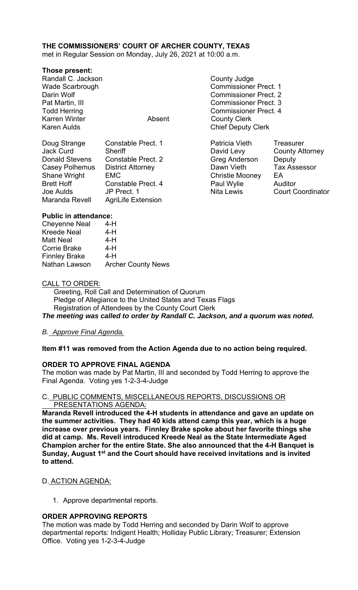# **THE COMMISSIONERS' COURT OF ARCHER COUNTY, TEXAS**

met in Regular Session on Monday, July 26, 2021 at 10:00 a.m.

## **Those present:**

Randall C. Jackson **County Judge County Judge** Karren Winter **Absent** County Clerk Karen Aulds **Chief Deputy Clerk** 

| Doug Strange          | <b>Constable Prect. 1</b> |
|-----------------------|---------------------------|
| <b>Jack Curd</b>      | <b>Sheriff</b>            |
| <b>Donald Stevens</b> | <b>Constable Prect. 2</b> |
| Casey Polhemus        | <b>District Attorney</b>  |
| <b>Shane Wright</b>   | <b>EMC</b>                |
| <b>Brett Hoff</b>     | <b>Constable Prect. 4</b> |
| Joe Aulds             | JP Prect. 1               |
| Maranda Revell        | <b>AgriLife Extension</b> |
|                       |                           |

- Wade Scarbrough Commissioner Prect. 1 Darin Wolf Commissioner Prect. 2 Pat Martin, III Commissioner Prect. 3 Todd Herring Todd Exercise Commissioner Prect. 4
	- Patricia Vieth Treasurer David Levy County Attorney Greg Anderson Deputy Dawn Vieth Tax Assessor Christie Mooney EA Paul Wylie Auditor

Nita Lewis **Court Coordinator** 

## **Public in attendance:**

| <b>Cheyenne Neal</b> | 4-H                       |
|----------------------|---------------------------|
| <b>Kreede Neal</b>   | 4-H                       |
| <b>Matt Neal</b>     | 4-H                       |
| <b>Corrie Brake</b>  | 4-H                       |
| <b>Finnley Brake</b> | 4-H                       |
| Nathan Lawson        | <b>Archer County News</b> |

## CALL TO ORDER:

 Greeting, Roll Call and Determination of Quorum Pledge of Allegiance to the United States and Texas Flags Registration of Attendees by the County Court Clerk

*The meeting was called to order by Randall C. Jackson, and a quorum was noted.* 

# *B. Approve Final Agenda.*

# **Item #11 was removed from the Action Agenda due to no action being required.**

# **ORDER TO APPROVE FINAL AGENDA**

The motion was made by Pat Martin, III and seconded by Todd Herring to approve the Final Agenda. Voting yes 1-2-3-4-Judge

## C. PUBLIC COMMENTS, MISCELLANEOUS REPORTS, DISCUSSIONS OR PRESENTATIONS AGENDA:

**Maranda Revell introduced the 4-H students in attendance and gave an update on the summer activities. They had 40 kids attend camp this year, which is a huge increase over previous years. Finnley Brake spoke about her favorite things she did at camp. Ms. Revell introduced Kreede Neal as the State Intermediate Aged Champion archer for the entire State. She also announced that the 4-H Banquet is Sunday, August 1st and the Court should have received invitations and is invited to attend.** 

# D. ACTION AGENDA:

1. Approve departmental reports.

# **ORDER APPROVING REPORTS**

The motion was made by Todd Herring and seconded by Darin Wolf to approve departmental reports: Indigent Health; Holliday Public Library; Treasurer; Extension Office. Voting yes 1-2-3-4-Judge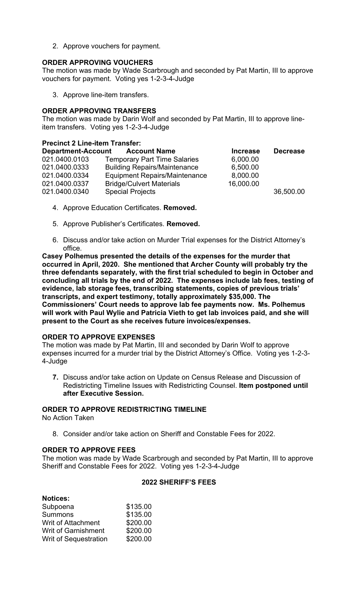2. Approve vouchers for payment.

# **ORDER APPROVING VOUCHERS**

The motion was made by Wade Scarbrough and seconded by Pat Martin, III to approve vouchers for payment. Voting yes 1-2-3-4-Judge

3. Approve line-item transfers.

## **ORDER APPROVING TRANSFERS**

The motion was made by Darin Wolf and seconded by Pat Martin, III to approve lineitem transfers. Voting yes 1-2-3-4-Judge

#### **Precinct 2 Line-item Transfer:**

| <b>Department-Account</b> | <b>Account Name</b>                  | <b>Increase</b> | <b>Decrease</b> |
|---------------------------|--------------------------------------|-----------------|-----------------|
| 021.0400.0103             | <b>Temporary Part Time Salaries</b>  | 6,000.00        |                 |
| 021.0400.0333             | <b>Building Repairs/Maintenance</b>  | 6,500.00        |                 |
| 021.0400.0334             | <b>Equipment Repairs/Maintenance</b> | 8,000.00        |                 |
| 021.0400.0337             | <b>Bridge/Culvert Materials</b>      | 16,000.00       |                 |
| 021.0400.0340             | <b>Special Projects</b>              |                 | 36,500.00       |

- 4. Approve Education Certificates. **Removed.**
- 5. Approve Publisher's Certificates. **Removed.**
- 6. Discuss and/or take action on Murder Trial expenses for the District Attorney's office.

**Casey Polhemus presented the details of the expenses for the murder that occurred in April, 2020. She mentioned that Archer County will probably try the three defendants separately, with the first trial scheduled to begin in October and concluding all trials by the end of 2022. The expenses include lab fees, testing of evidence, lab storage fees, transcribing statements, copies of previous trials' transcripts, and expert testimony, totally approximately \$35,000. The Commissioners' Court needs to approve lab fee payments now. Ms. Polhemus will work with Paul Wylie and Patricia Vieth to get lab invoices paid, and she will present to the Court as she receives future invoices/expenses.** 

# **ORDER TO APPROVE EXPENSES**

The motion was made by Pat Martin, III and seconded by Darin Wolf to approve expenses incurred for a murder trial by the District Attorney's Office. Voting yes 1-2-3- 4-Judge

**7.** Discuss and/or take action on Update on Census Release and Discussion of Redistricting Timeline Issues with Redistricting Counsel. **Item postponed until after Executive Session.** 

# **ORDER TO APPROVE REDISTRICTING TIMELINE**

No Action Taken

8. Consider and/or take action on Sheriff and Constable Fees for 2022.

#### **ORDER TO APPROVE FEES**

The motion was made by Wade Scarbrough and seconded by Pat Martin, III to approve Sheriff and Constable Fees for 2022. Voting yes 1-2-3-4-Judge

## **2022 SHERIFF'S FEES**

| <b>Notices:</b>              |          |
|------------------------------|----------|
| Subpoena                     | \$135.00 |
| <b>Summons</b>               | \$135.00 |
| <b>Writ of Attachment</b>    | \$200.00 |
| <b>Writ of Garnishment</b>   | \$200.00 |
| <b>Writ of Sequestration</b> | \$200.00 |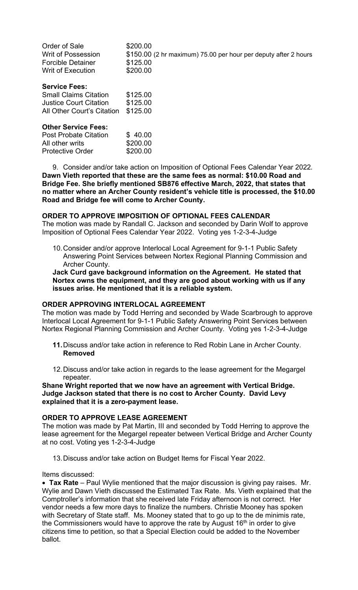| Order of Sale<br>Writ of Possession<br><b>Forcible Detainer</b><br><b>Writ of Execution</b>                         | \$200.00<br>\$150.00 (2 hr maximum) 75.00 per hour per deputy after 2 hours<br>\$125.00<br>\$200.00 |
|---------------------------------------------------------------------------------------------------------------------|-----------------------------------------------------------------------------------------------------|
| <b>Service Fees:</b><br><b>Small Claims Citation</b><br><b>Justice Court Citation</b><br>All Other Court's Citation | \$125.00<br>\$125.00<br>\$125.00                                                                    |
| <b>Other Service Fees:</b><br><b>Post Probate Citation</b><br>All other writs<br><b>Protective Order</b>            | \$40.00<br>\$200.00<br>\$200.00                                                                     |

9. Consider and/or take action on Imposition of Optional Fees Calendar Year 2022*.* **Dawn Vieth reported that these are the same fees as normal: \$10.00 Road and Bridge Fee. She briefly mentioned SB876 effective March, 2022, that states that no matter where an Archer County resident's vehicle title is processed, the \$10.00 Road and Bridge fee will come to Archer County.** 

#### **ORDER TO APPROVE IMPOSITION OF OPTIONAL FEES CALENDAR**

The motion was made by Randall C. Jackson and seconded by Darin Wolf to approve Imposition of Optional Fees Calendar Year 2022. Voting yes 1-2-3-4-Judge

10. Consider and/or approve Interlocal Local Agreement for 9-1-1 Public Safety Answering Point Services between Nortex Regional Planning Commission and Archer County.

**Jack Curd gave background information on the Agreement. He stated that Nortex owns the equipment, and they are good about working with us if any issues arise. He mentioned that it is a reliable system.** 

#### **ORDER APPROVING INTERLOCAL AGREEMENT**

The motion was made by Todd Herring and seconded by Wade Scarbrough to approve Interlocal Local Agreement for 9-1-1 Public Safety Answering Point Services between Nortex Regional Planning Commission and Archer County. Voting yes 1-2-3-4-Judge

- **11.** Discuss and/or take action in reference to Red Robin Lane in Archer County. **Removed**
- 12. Discuss and/or take action in regards to the lease agreement for the Megargel repeater.

#### **Shane Wright reported that we now have an agreement with Vertical Bridge. Judge Jackson stated that there is no cost to Archer County. David Levy explained that it is a zero-payment lease.**

#### **ORDER TO APPROVE LEASE AGREEMENT**

The motion was made by Pat Martin, III and seconded by Todd Herring to approve the lease agreement for the Megargel repeater between Vertical Bridge and Archer County at no cost. Voting yes 1-2-3-4-Judge

13. Discuss and/or take action on Budget Items for Fiscal Year 2022.

Items discussed:

 **Tax Rate** – Paul Wylie mentioned that the major discussion is giving pay raises. Mr. Wylie and Dawn Vieth discussed the Estimated Tax Rate. Ms. Vieth explained that the Comptroller's information that she received late Friday afternoon is not correct. Her vendor needs a few more days to finalize the numbers. Christie Mooney has spoken with Secretary of State staff. Ms. Mooney stated that to go up to the de minimis rate, the Commissioners would have to approve the rate by August  $16<sup>th</sup>$  in order to give citizens time to petition, so that a Special Election could be added to the November ballot.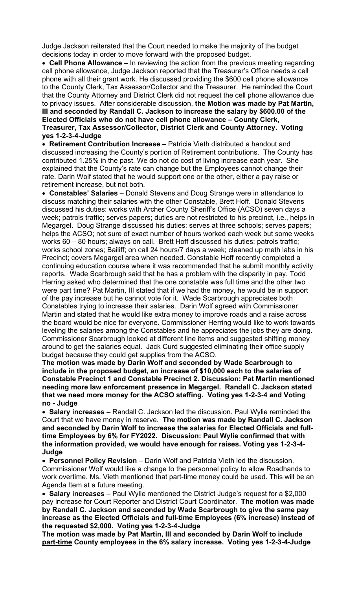Judge Jackson reiterated that the Court needed to make the majority of the budget decisions today in order to move forward with the proposed budget.

 **Cell Phone Allowance** – In reviewing the action from the previous meeting regarding cell phone allowance, Judge Jackson reported that the Treasurer's Office needs a cell phone with all their grant work. He discussed providing the \$600 cell phone allowance to the County Clerk, Tax Assessor/Collector and the Treasurer. He reminded the Court that the County Attorney and District Clerk did not request the cell phone allowance due to privacy issues. After considerable discussion, **the Motion was made by Pat Martin, III and seconded by Randall C. Jackson to increase the salary by \$600.00 of the Elected Officials who do not have cell phone allowance – County Clerk, Treasurer, Tax Assessor/Collector, District Clerk and County Attorney. Voting yes 1-2-3-4-Judge** 

 **Retirement Contribution Increase** – Patricia Vieth distributed a handout and discussed increasing the County's portion of Retirement contributions. The County has contributed 1.25% in the past. We do not do cost of living increase each year. She explained that the County's rate can change but the Employees cannot change their rate. Darin Wolf stated that he would support one or the other, either a pay raise or retirement increase, but not both.

 **Constables' Salaries** – Donald Stevens and Doug Strange were in attendance to discuss matching their salaries with the other Constable, Brett Hoff. Donald Stevens discussed his duties: works with Archer County Sheriff's Office (ACSO) seven days a week; patrols traffic; serves papers; duties are not restricted to his precinct, i.e., helps in Megargel. Doug Strange discussed his duties: serves at three schools; serves papers; helps the ACSO; not sure of exact number of hours worked each week but some weeks works 60 – 80 hours; always on call. Brett Hoff discussed his duties: patrols traffic; works school zones; Bailiff; on call 24 hours/7 days a week; cleaned up meth labs in his Precinct; covers Megargel area when needed. Constable Hoff recently completed a continuing education course where it was recommended that he submit monthly activity reports. Wade Scarbrough said that he has a problem with the disparity in pay. Todd Herring asked who determined that the one constable was full time and the other two were part time? Pat Martin, III stated that if we had the money, he would be in support of the pay increase but he cannot vote for it. Wade Scarbrough appreciates both Constables trying to increase their salaries. Darin Wolf agreed with Commissioner Martin and stated that he would like extra money to improve roads and a raise across the board would be nice for everyone. Commissioner Herring would like to work towards leveling the salaries among the Constables and he appreciates the jobs they are doing. Commissioner Scarbrough looked at different line items and suggested shifting money around to get the salaries equal. Jack Curd suggested eliminating their office supply budget because they could get supplies from the ACSO.

**The motion was made by Darin Wolf and seconded by Wade Scarbrough to include in the proposed budget, an increase of \$10,000 each to the salaries of Constable Precinct 1 and Constable Precinct 2. Discussion: Pat Martin mentioned needing more law enforcement presence in Megargel. Randall C. Jackson stated that we need more money for the ACSO staffing. Voting yes 1-2-3-4 and Voting no - Judge** 

 **Salary increases** – Randall C. Jackson led the discussion. Paul Wylie reminded the Court that we have money in reserve. **The motion was made by Randall C. Jackson and seconded by Darin Wolf to increase the salaries for Elected Officials and fulltime Employees by 6% for FY2022. Discussion: Paul Wylie confirmed that with the information provided, we would have enough for raises. Voting yes 1-2-3-4- Judge**

 **Personnel Policy Revision** – Darin Wolf and Patricia Vieth led the discussion. Commissioner Wolf would like a change to the personnel policy to allow Roadhands to work overtime. Ms. Vieth mentioned that part-time money could be used. This will be an Agenda Item at a future meeting.

 **Salary increases** – Paul Wylie mentioned the District Judge's request for a \$2,000 pay increase for Court Reporter and District Court Coordinator. **The motion was made by Randall C. Jackson and seconded by Wade Scarbrough to give the same pay increase as the Elected Officials and full-time Employees (6% increase) instead of the requested \$2,000. Voting yes 1-2-3-4-Judge** 

**The motion was made by Pat Martin, III and seconded by Darin Wolf to include part-time County employees in the 6% salary increase. Voting yes 1-2-3-4-Judge**